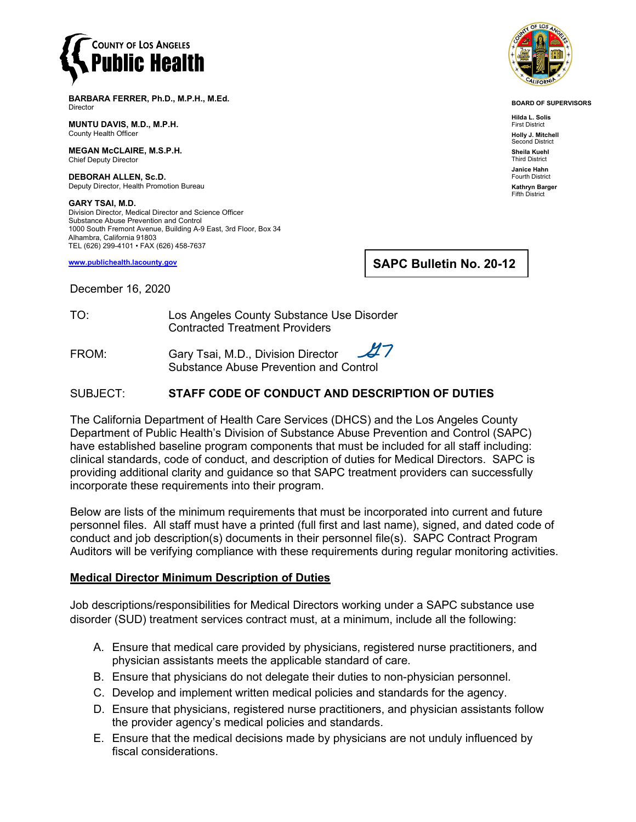

**BARBARA FERRER, Ph.D., M.P.H., M.Ed.** Director

**MUNTU DAVIS, M.D., M.P.H.** County Health Officer

**MEGAN McCLAIRE, M.S.P.H.** Chief Deputy Director

**DEBORAH ALLEN, Sc.D.** Deputy Director, Health Promotion Bureau

**GARY TSAI, M.D.** Division Director, Medical Director and Science Officer Substance Abuse Prevention and Control 1000 South Fremont Avenue, Building A-9 East, 3rd Floor, Box 34 Alhambra, California 91803 TEL (626) 299-4101 • FAX (626) 458-7637

**[www.publichealth.lacounty.gov](http://www.publichealth.lacounty.gov/)**

**SAPC Bulletin No. 20-12**

December 16, 2020

TO: Los Angeles County Substance Use Disorder Contracted Treatment Providers

ソフ FROM: Gary Tsai, M.D., Division Director Substance Abuse Prevention and Control

## SUBJECT: **STAFF CODE OF CONDUCT AND DESCRIPTION OF DUTIES**

The California Department of Health Care Services (DHCS) and the Los Angeles County Department of Public Health's Division of Substance Abuse Prevention and Control (SAPC) have established baseline program components that must be included for all staff including: clinical standards, code of conduct, and description of duties for Medical Directors. SAPC is providing additional clarity and guidance so that SAPC treatment providers can successfully incorporate these requirements into their program.

Below are lists of the minimum requirements that must be incorporated into current and future personnel files. All staff must have a printed (full first and last name), signed, and dated code of conduct and job description(s) documents in their personnel file(s). SAPC Contract Program Auditors will be verifying compliance with these requirements during regular monitoring activities.

## **Medical Director Minimum Description of Duties**

Job descriptions/responsibilities for Medical Directors working under a SAPC substance use disorder (SUD) treatment services contract must, at a minimum, include all the following:

- A. Ensure that medical care provided by physicians, registered nurse practitioners, and physician assistants meets the applicable standard of care.
- B. Ensure that physicians do not delegate their duties to non-physician personnel.
- C. Develop and implement written medical policies and standards for the agency.
- D. Ensure that physicians, registered nurse practitioners, and physician assistants follow the provider agency's medical policies and standards.
- E. Ensure that the medical decisions made by physicians are not unduly influenced by fiscal considerations.



**BOARD OF SUPERVISORS**

**Hilda L. Solis** First District **Holly J. Mitchell** nd District **Sheila Kuehl** Third District **Janice Hahn** Fourth District **Kathryn Barger** Fifth District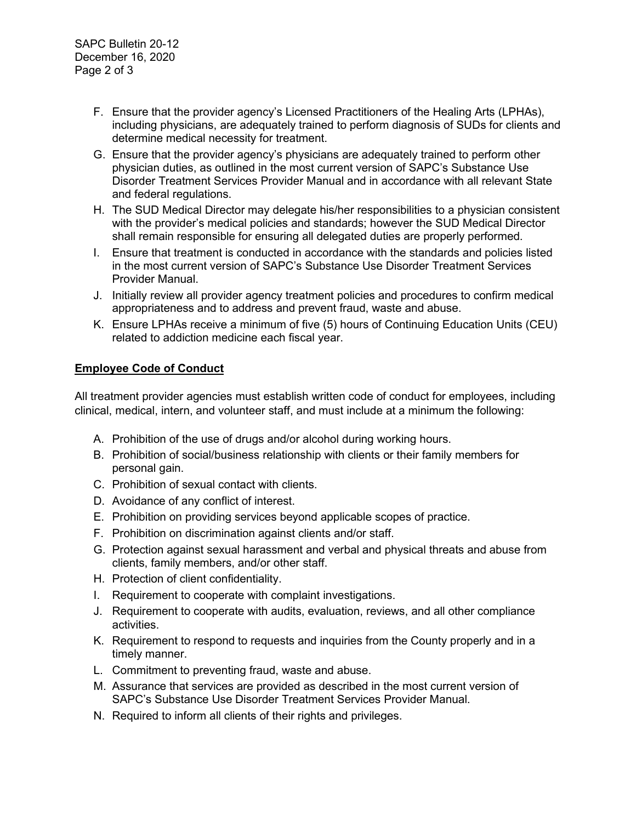- F. Ensure that the provider agency's Licensed Practitioners of the Healing Arts (LPHAs), including physicians, are adequately trained to perform diagnosis of SUDs for clients and determine medical necessity for treatment.
- G. Ensure that the provider agency's physicians are adequately trained to perform other physician duties, as outlined in the most current version of SAPC's Substance Use Disorder Treatment Services Provider Manual and in accordance with all relevant State and federal regulations.
- H. The SUD Medical Director may delegate his/her responsibilities to a physician consistent with the provider's medical policies and standards; however the SUD Medical Director shall remain responsible for ensuring all delegated duties are properly performed.
- I. Ensure that treatment is conducted in accordance with the standards and policies listed in the most current version of SAPC's Substance Use Disorder Treatment Services Provider Manual.
- J. Initially review all provider agency treatment policies and procedures to confirm medical appropriateness and to address and prevent fraud, waste and abuse.
- K. Ensure LPHAs receive a minimum of five (5) hours of Continuing Education Units (CEU) related to addiction medicine each fiscal year.

## **Employee Code of Conduct**

All treatment provider agencies must establish written code of conduct for employees, including clinical, medical, intern, and volunteer staff, and must include at a minimum the following:

- A. Prohibition of the use of drugs and/or alcohol during working hours.
- B. Prohibition of social/business relationship with clients or their family members for personal gain.
- C. Prohibition of sexual contact with clients.
- D. Avoidance of any conflict of interest.
- E. Prohibition on providing services beyond applicable scopes of practice.
- F. Prohibition on discrimination against clients and/or staff.
- G. Protection against sexual harassment and verbal and physical threats and abuse from clients, family members, and/or other staff.
- H. Protection of client confidentiality.
- I. Requirement to cooperate with complaint investigations.
- J. Requirement to cooperate with audits, evaluation, reviews, and all other compliance activities.
- K. Requirement to respond to requests and inquiries from the County properly and in a timely manner.
- L. Commitment to preventing fraud, waste and abuse.
- M. Assurance that services are provided as described in the most current version of SAPC's Substance Use Disorder Treatment Services Provider Manual.
- N. Required to inform all clients of their rights and privileges.